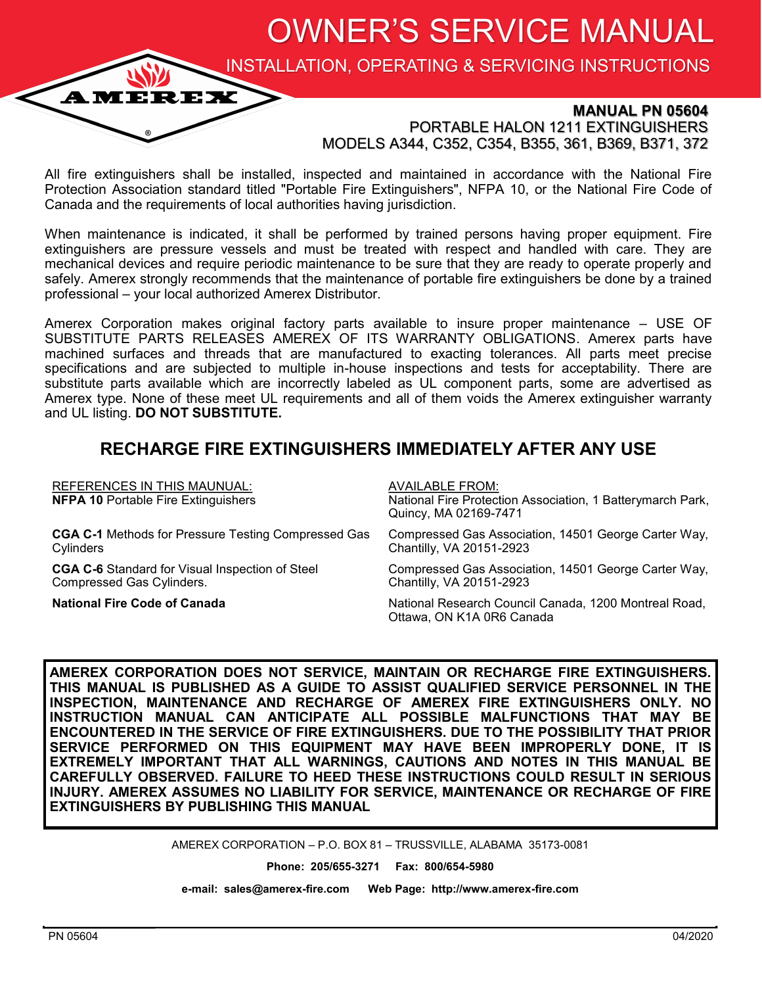OWNER'S SERVICE MANUAL

INSTALLATION, OPERATING & SERVICING INSTRUCTIONS

### **MANUAL PN 05604**

PORTABLE HALON 1211 EXTINGUISHERS MODELS A344, C352, C354, B355, 361, B369, B371, 372

All fire extinguishers shall be installed, inspected and maintained in accordance with the National Fire Protection Association standard titled "Portable Fire Extinguishers", NFPA 10, or the National Fire Code of Canada and the requirements of local authorities having jurisdiction.

When maintenance is indicated, it shall be performed by trained persons having proper equipment. Fire extinguishers are pressure vessels and must be treated with respect and handled with care. They are mechanical devices and require periodic maintenance to be sure that they are ready to operate properly and safely. Amerex strongly recommends that the maintenance of portable fire extinguishers be done by a trained professional – your local authorized Amerex Distributor.

Amerex Corporation makes original factory parts available to insure proper maintenance – USE OF SUBSTITUTE PARTS RELEASES AMEREX OF ITS WARRANTY OBLIGATIONS. Amerex parts have machined surfaces and threads that are manufactured to exacting tolerances. All parts meet precise specifications and are subjected to multiple in-house inspections and tests for acceptability. There are substitute parts available which are incorrectly labeled as UL component parts, some are advertised as Amerex type. None of these meet UL requirements and all of them voids the Amerex extinguisher warranty and UL listing. **DO NOT SUBSTITUTE.**

### **RECHARGE FIRE EXTINGUISHERS IMMEDIATELY AFTER ANY USE**

| <b>REFERENCES IN THIS MAUNUAL:</b><br><b>NFPA 10 Portable Fire Extinguishers</b> | <b>AVAILABLE FROM:</b><br>National Fire Protection Association, 1 Batterymarch Park,<br>Quincy, MA 02169-7471 |
|----------------------------------------------------------------------------------|---------------------------------------------------------------------------------------------------------------|
| <b>CGA C-1</b> Methods for Pressure Testing Compressed Gas                       | Compressed Gas Association, 14501 George Carter Way,                                                          |
| Cylinders                                                                        | Chantilly, VA 20151-2923                                                                                      |
| <b>CGA C-6</b> Standard for Visual Inspection of Steel                           | Compressed Gas Association, 14501 George Carter Way,                                                          |
| Compressed Gas Cylinders.                                                        | Chantilly, VA 20151-2923                                                                                      |
| <b>National Fire Code of Canada</b>                                              | National Research Council Canada, 1200 Montreal Road,<br>Ottawa, ON K1A 0R6 Canada                            |

**AMEREX CORPORATION DOES NOT SERVICE, MAINTAIN OR RECHARGE FIRE EXTINGUISHERS. THIS MANUAL IS PUBLISHED AS A GUIDE TO ASSIST QUALIFIED SERVICE PERSONNEL IN THE INSPECTION, MAINTENANCE AND RECHARGE OF AMEREX FIRE EXTINGUISHERS ONLY. NO INSTRUCTION MANUAL CAN ANTICIPATE ALL POSSIBLE MALFUNCTIONS THAT MAY BE ENCOUNTERED IN THE SERVICE OF FIRE EXTINGUISHERS. DUE TO THE POSSIBILITY THAT PRIOR SERVICE PERFORMED ON THIS EQUIPMENT MAY HAVE BEEN IMPROPERLY DONE, IT IS EXTREMELY IMPORTANT THAT ALL WARNINGS, CAUTIONS AND NOTES IN THIS MANUAL BE CAREFULLY OBSERVED. FAILURE TO HEED THESE INSTRUCTIONS COULD RESULT IN SERIOUS INJURY. AMEREX ASSUMES NO LIABILITY FOR SERVICE, MAINTENANCE OR RECHARGE OF FIRE EXTINGUISHERS BY PUBLISHING THIS MANUAL** 

AMEREX CORPORATION – P.O. BOX 81 – TRUSSVILLE, ALABAMA 35173-0081

**Phone: 205/655-3271 Fax: 800/654-5980**

**e-mail: sales@amerex-fire.com Web Page: http://www.amerex-fire.com**

**AMEREX**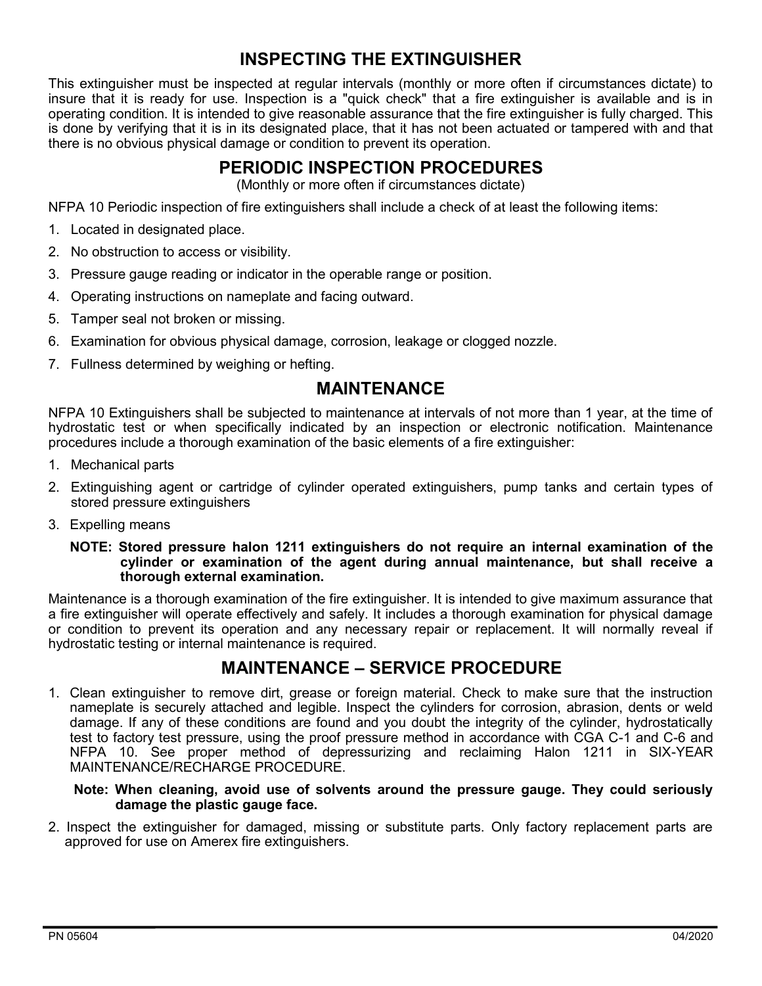# **INSPECTING THE EXTINGUISHER**

This extinguisher must be inspected at regular intervals (monthly or more often if circumstances dictate) to insure that it is ready for use. Inspection is a "quick check" that a fire extinguisher is available and is in operating condition. It is intended to give reasonable assurance that the fire extinguisher is fully charged. This is done by verifying that it is in its designated place, that it has not been actuated or tampered with and that there is no obvious physical damage or condition to prevent its operation.

## **PERIODIC INSPECTION PROCEDURES**

(Monthly or more often if circumstances dictate)

NFPA 10 Periodic inspection of fire extinguishers shall include a check of at least the following items:

- 1. Located in designated place.
- 2. No obstruction to access or visibility.
- 3. Pressure gauge reading or indicator in the operable range or position.
- 4. Operating instructions on nameplate and facing outward.
- 5. Tamper seal not broken or missing.
- 6. Examination for obvious physical damage, corrosion, leakage or clogged nozzle.
- 7. Fullness determined by weighing or hefting.

## **MAINTENANCE**

NFPA 10 Extinguishers shall be subjected to maintenance at intervals of not more than 1 year, at the time of hydrostatic test or when specifically indicated by an inspection or electronic notification. Maintenance procedures include a thorough examination of the basic elements of a fire extinguisher:

- 1. Mechanical parts
- 2. Extinguishing agent or cartridge of cylinder operated extinguishers, pump tanks and certain types of stored pressure extinguishers
- 3. Expelling means

#### **NOTE: Stored pressure halon 1211 extinguishers do not require an internal examination of the cylinder or examination of the agent during annual maintenance, but shall receive a thorough external examination.**

Maintenance is a thorough examination of the fire extinguisher. It is intended to give maximum assurance that a fire extinguisher will operate effectively and safely. It includes a thorough examination for physical damage or condition to prevent its operation and any necessary repair or replacement. It will normally reveal if hydrostatic testing or internal maintenance is required.

### **MAINTENANCE – SERVICE PROCEDURE**

1. Clean extinguisher to remove dirt, grease or foreign material. Check to make sure that the instruction nameplate is securely attached and legible. Inspect the cylinders for corrosion, abrasion, dents or weld damage. If any of these conditions are found and you doubt the integrity of the cylinder, hydrostatically test to factory test pressure, using the proof pressure method in accordance with CGA C-1 and C-6 and NFPA 10. See proper method of depressurizing and reclaiming Halon 1211 in SIX-YEAR MAINTENANCE/RECHARGE PROCEDURE.

### **Note: When cleaning, avoid use of solvents around the pressure gauge. They could seriously damage the plastic gauge face.**

2. Inspect the extinguisher for damaged, missing or substitute parts. Only factory replacement parts are approved for use on Amerex fire extinguishers.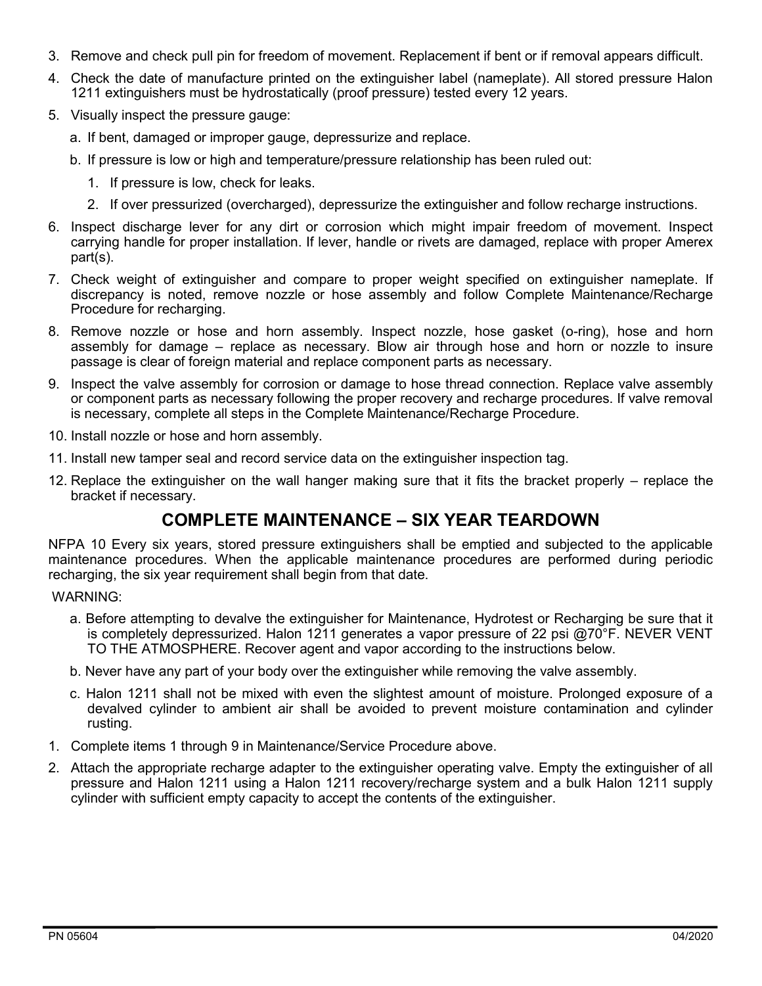- 3. Remove and check pull pin for freedom of movement. Replacement if bent or if removal appears difficult.
- 4. Check the date of manufacture printed on the extinguisher label (nameplate). All stored pressure Halon 1211 extinguishers must be hydrostatically (proof pressure) tested every 12 years.
- 5. Visually inspect the pressure gauge:
	- a. If bent, damaged or improper gauge, depressurize and replace.
	- b. If pressure is low or high and temperature/pressure relationship has been ruled out:
		- 1. If pressure is low, check for leaks.
		- 2. If over pressurized (overcharged), depressurize the extinguisher and follow recharge instructions.
- 6. Inspect discharge lever for any dirt or corrosion which might impair freedom of movement. Inspect carrying handle for proper installation. If lever, handle or rivets are damaged, replace with proper Amerex part(s).
- 7. Check weight of extinguisher and compare to proper weight specified on extinguisher nameplate. If discrepancy is noted, remove nozzle or hose assembly and follow Complete Maintenance/Recharge Procedure for recharging.
- 8. Remove nozzle or hose and horn assembly. Inspect nozzle, hose gasket (o-ring), hose and horn assembly for damage – replace as necessary. Blow air through hose and horn or nozzle to insure passage is clear of foreign material and replace component parts as necessary.
- 9. Inspect the valve assembly for corrosion or damage to hose thread connection. Replace valve assembly or component parts as necessary following the proper recovery and recharge procedures. If valve removal is necessary, complete all steps in the Complete Maintenance/Recharge Procedure.
- 10. Install nozzle or hose and horn assembly.
- 11. Install new tamper seal and record service data on the extinguisher inspection tag.
- 12. Replace the extinguisher on the wall hanger making sure that it fits the bracket properly replace the bracket if necessary.

# **COMPLETE MAINTENANCE – SIX YEAR TEARDOWN**

NFPA 10 Every six years, stored pressure extinguishers shall be emptied and subjected to the applicable maintenance procedures. When the applicable maintenance procedures are performed during periodic recharging, the six year requirement shall begin from that date.

WARNING:

- a. Before attempting to devalve the extinguisher for Maintenance, Hydrotest or Recharging be sure that it is completely depressurized. Halon 1211 generates a vapor pressure of 22 psi @70°F. NEVER VENT TO THE ATMOSPHERE. Recover agent and vapor according to the instructions below.
- b. Never have any part of your body over the extinguisher while removing the valve assembly.
- c. Halon 1211 shall not be mixed with even the slightest amount of moisture. Prolonged exposure of a devalved cylinder to ambient air shall be avoided to prevent moisture contamination and cylinder rusting.
- 1. Complete items 1 through 9 in Maintenance/Service Procedure above.
- 2. Attach the appropriate recharge adapter to the extinguisher operating valve. Empty the extinguisher of all pressure and Halon 1211 using a Halon 1211 recovery/recharge system and a bulk Halon 1211 supply cylinder with sufficient empty capacity to accept the contents of the extinguisher.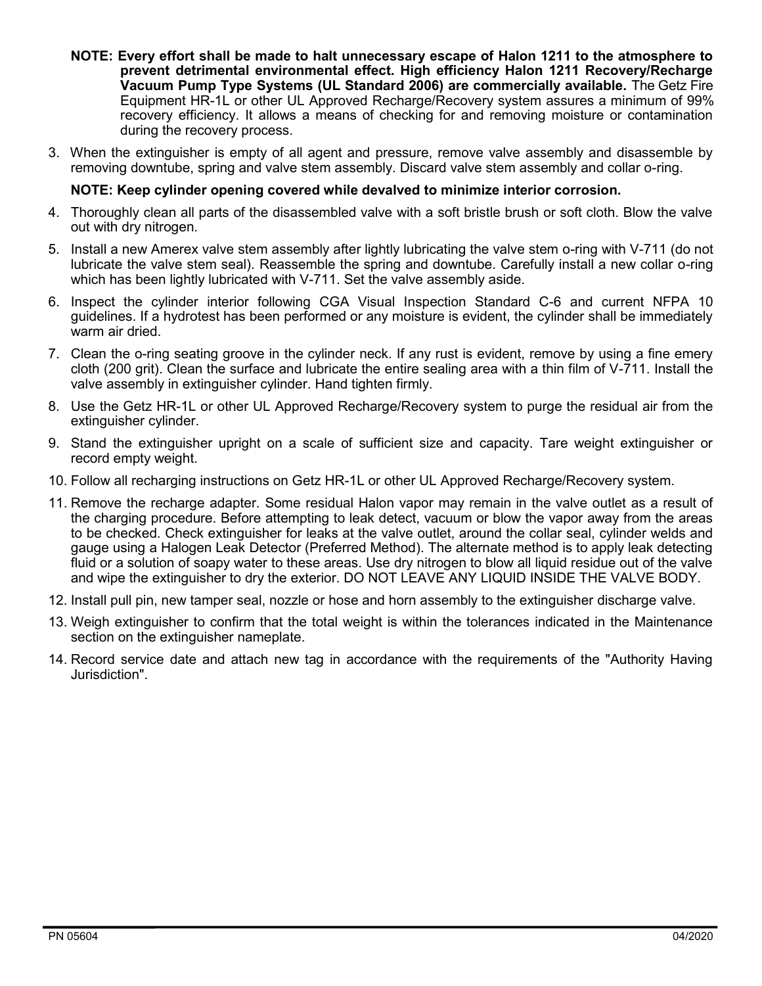- **NOTE: Every effort shall be made to halt unnecessary escape of Halon 1211 to the atmosphere to prevent detrimental environmental effect. High efficiency Halon 1211 Recovery/Recharge Vacuum Pump Type Systems (UL Standard 2006) are commercially available.** The Getz Fire Equipment HR-1L or other UL Approved Recharge/Recovery system assures a minimum of 99% recovery efficiency. It allows a means of checking for and removing moisture or contamination during the recovery process.
- 3. When the extinguisher is empty of all agent and pressure, remove valve assembly and disassemble by removing downtube, spring and valve stem assembly. Discard valve stem assembly and collar o-ring.

### **NOTE: Keep cylinder opening covered while devalved to minimize interior corrosion.**

- 4. Thoroughly clean all parts of the disassembled valve with a soft bristle brush or soft cloth. Blow the valve out with dry nitrogen.
- 5. Install a new Amerex valve stem assembly after lightly lubricating the valve stem o-ring with V-711 (do not lubricate the valve stem seal). Reassemble the spring and downtube. Carefully install a new collar o-ring which has been lightly lubricated with V-711. Set the valve assembly aside.
- 6. Inspect the cylinder interior following CGA Visual Inspection Standard C-6 and current NFPA 10 guidelines. If a hydrotest has been performed or any moisture is evident, the cylinder shall be immediately warm air dried.
- 7. Clean the o-ring seating groove in the cylinder neck. If any rust is evident, remove by using a fine emery cloth (200 grit). Clean the surface and lubricate the entire sealing area with a thin film of V-711. Install the valve assembly in extinguisher cylinder. Hand tighten firmly.
- 8. Use the Getz HR-1L or other UL Approved Recharge/Recovery system to purge the residual air from the extinguisher cylinder.
- 9. Stand the extinguisher upright on a scale of sufficient size and capacity. Tare weight extinguisher or record empty weight.
- 10. Follow all recharging instructions on Getz HR-1L or other UL Approved Recharge/Recovery system.
- 11. Remove the recharge adapter. Some residual Halon vapor may remain in the valve outlet as a result of the charging procedure. Before attempting to leak detect, vacuum or blow the vapor away from the areas to be checked. Check extinguisher for leaks at the valve outlet, around the collar seal, cylinder welds and gauge using a Halogen Leak Detector (Preferred Method). The alternate method is to apply leak detecting fluid or a solution of soapy water to these areas. Use dry nitrogen to blow all liquid residue out of the valve and wipe the extinguisher to dry the exterior. DO NOT LEAVE ANY LIQUID INSIDE THE VALVE BODY.
- 12. Install pull pin, new tamper seal, nozzle or hose and horn assembly to the extinguisher discharge valve.
- 13. Weigh extinguisher to confirm that the total weight is within the tolerances indicated in the Maintenance section on the extinguisher nameplate.
- 14. Record service date and attach new tag in accordance with the requirements of the "Authority Having Jurisdiction".